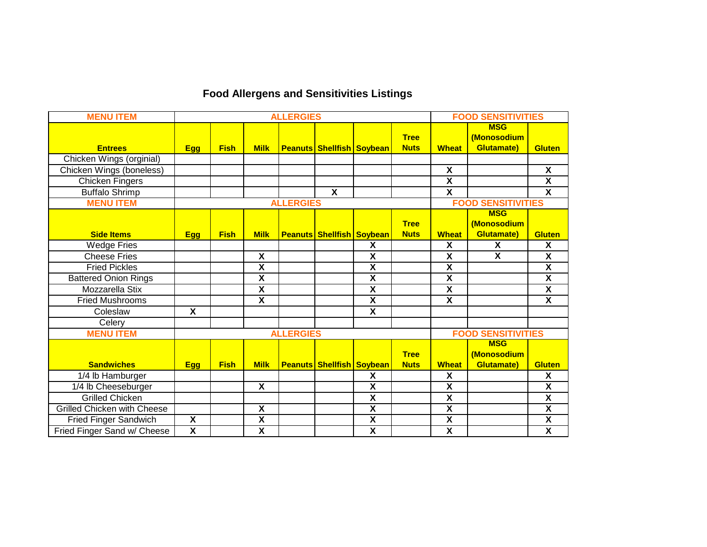## **Food Allergens and Sensitivities Listings**

| <b>MENU ITEM</b>                   |                         |             |                           | <b>ALLERGIES</b> |                                  |                           |                            |                           | <b>FOOD SENSITIVITIES</b>                      |                           |
|------------------------------------|-------------------------|-------------|---------------------------|------------------|----------------------------------|---------------------------|----------------------------|---------------------------|------------------------------------------------|---------------------------|
| <b>Entrees</b>                     | <b>Egg</b>              | <b>Fish</b> | <b>Milk</b>               |                  | <b>Peanuts Shellfish Soybean</b> |                           | <b>Tree</b><br><b>Nuts</b> | <b>Wheat</b>              | <b>MSG</b><br>(Monosodium<br><b>Glutamate)</b> | <b>Gluten</b>             |
| Chicken Wings (orginial)           |                         |             |                           |                  |                                  |                           |                            |                           |                                                |                           |
| Chicken Wings (boneless)           |                         |             |                           |                  |                                  |                           |                            | X                         |                                                | $\boldsymbol{\mathsf{X}}$ |
| <b>Chicken Fingers</b>             |                         |             |                           |                  |                                  |                           |                            | $\overline{\mathbf{x}}$   |                                                | $\overline{\mathbf{X}}$   |
| <b>Buffalo Shrimp</b>              |                         |             |                           |                  | $\boldsymbol{\mathsf{X}}$        |                           |                            | $\boldsymbol{\mathsf{X}}$ |                                                | X                         |
| <b>MENU ITEM</b>                   |                         |             |                           | <b>ALLERGIES</b> |                                  |                           |                            |                           | <b>FOOD SENSITIVITIES</b>                      |                           |
| <b>Side Items</b>                  | <b>Egg</b>              | <b>Fish</b> | <b>Milk</b>               |                  | <b>Peanuts Shellfish Soybean</b> |                           | <b>Tree</b><br><b>Nuts</b> | <b>Wheat</b>              | <b>MSG</b><br>(Monosodium<br><b>Glutamate)</b> | <b>Gluten</b>             |
| <b>Wedge Fries</b>                 |                         |             |                           |                  |                                  | $\boldsymbol{\mathsf{X}}$ |                            | $\boldsymbol{\mathsf{x}}$ | $\overline{\mathbf{x}}$                        | X                         |
| <b>Cheese Fries</b>                |                         |             | $\boldsymbol{\mathsf{X}}$ |                  |                                  | $\overline{\mathbf{X}}$   |                            | $\overline{\mathbf{x}}$   | $\overline{\mathbf{x}}$                        | $\overline{\mathbf{X}}$   |
| <b>Fried Pickles</b>               |                         |             | $\overline{\mathbf{X}}$   |                  |                                  | $\overline{\mathbf{x}}$   |                            | $\overline{\mathbf{X}}$   |                                                | $\overline{\mathbf{x}}$   |
| <b>Battered Onion Rings</b>        |                         |             | $\overline{\mathbf{X}}$   |                  |                                  | $\overline{\mathbf{X}}$   |                            | $\pmb{\chi}$              |                                                | $\overline{\mathbf{X}}$   |
| Mozzarella Stix                    |                         |             | $\overline{\mathbf{X}}$   |                  |                                  | $\overline{\mathbf{X}}$   |                            | $\overline{\mathbf{X}}$   |                                                | $\overline{\mathbf{x}}$   |
| <b>Fried Mushrooms</b>             |                         |             | $\overline{\mathbf{X}}$   |                  |                                  | $\overline{\mathbf{X}}$   |                            | $\overline{\mathbf{x}}$   |                                                | $\overline{\mathbf{x}}$   |
| Coleslaw                           | $\overline{\mathbf{x}}$ |             |                           |                  |                                  | $\overline{\mathbf{x}}$   |                            |                           |                                                |                           |
| Celery                             |                         |             |                           |                  |                                  |                           |                            |                           |                                                |                           |
| <b>MENU ITEM</b>                   | <b>ALLERGIES</b>        |             |                           |                  |                                  |                           |                            | <b>FOOD SENSITIVITIES</b> |                                                |                           |
| <b>Sandwiches</b>                  | <b>Egg</b>              | <b>Fish</b> | <b>Milk</b>               |                  | <b>Peanuts Shellfish Soybean</b> |                           | <b>Tree</b><br><b>Nuts</b> | <b>Wheat</b>              | <b>MSG</b><br>(Monosodium<br><b>Glutamate)</b> | <b>Gluten</b>             |
| 1/4 lb Hamburger                   |                         |             |                           |                  |                                  | X                         |                            | X                         |                                                | X                         |
| 1/4 lb Cheeseburger                |                         |             | $\overline{\mathbf{x}}$   |                  |                                  | $\overline{\mathbf{X}}$   |                            | $\overline{\mathbf{x}}$   |                                                | $\overline{\mathbf{X}}$   |
| <b>Grilled Chicken</b>             |                         |             |                           |                  |                                  | $\overline{\mathbf{x}}$   |                            | $\boldsymbol{\mathsf{X}}$ |                                                | X                         |
| <b>Grilled Chicken with Cheese</b> |                         |             | $\boldsymbol{\mathsf{X}}$ |                  |                                  | $\overline{\mathbf{x}}$   |                            | $\overline{\mathbf{X}}$   |                                                | $\overline{\mathbf{X}}$   |
| Fried Finger Sandwich              | $\overline{\mathbf{x}}$ |             | $\overline{\mathbf{X}}$   |                  |                                  | $\overline{\mathbf{X}}$   |                            | $\overline{\mathbf{X}}$   |                                                | $\overline{\mathbf{X}}$   |
| Fried Finger Sand w/ Cheese        | $\overline{\mathbf{x}}$ |             | $\overline{\mathbf{x}}$   |                  |                                  | $\overline{\mathbf{x}}$   |                            | $\boldsymbol{\mathsf{X}}$ |                                                | X                         |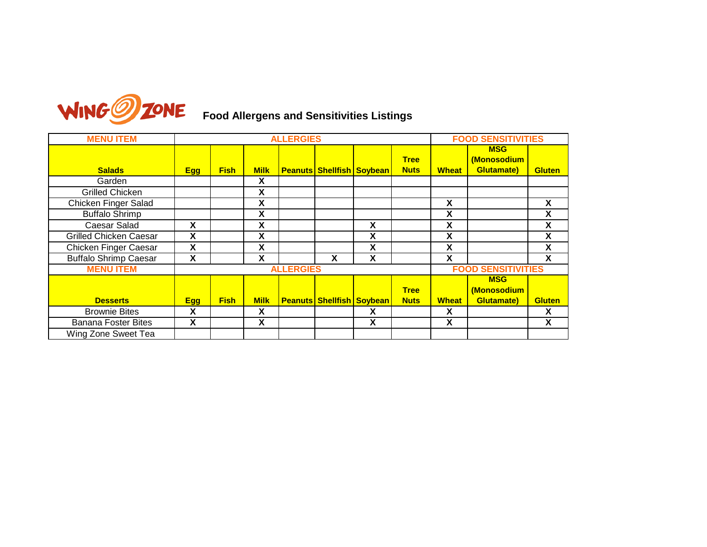

| <b>MENU ITEM</b>              | <b>ALLERGIES</b> |                  |             |  |   |                                  | <b>FOOD SENSITIVITIES</b>  |              |                                                |               |  |  |
|-------------------------------|------------------|------------------|-------------|--|---|----------------------------------|----------------------------|--------------|------------------------------------------------|---------------|--|--|
| <b>Salads</b>                 | <b>Egg</b>       | <b>Fish</b>      | <b>Milk</b> |  |   | <b>Peanuts Shellfish Soybean</b> | <b>Tree</b><br><b>Nuts</b> | <b>Wheat</b> | <b>MSG</b><br>(Monosodium<br><b>Glutamate)</b> | <b>Gluten</b> |  |  |
| Garden                        |                  |                  | X           |  |   |                                  |                            |              |                                                |               |  |  |
| <b>Grilled Chicken</b>        |                  |                  | X           |  |   |                                  |                            |              |                                                |               |  |  |
| Chicken Finger Salad          |                  |                  | X           |  |   |                                  |                            | X            |                                                | X             |  |  |
| <b>Buffalo Shrimp</b>         |                  |                  | X           |  |   |                                  |                            | X            |                                                | Χ             |  |  |
| Caesar Salad                  | X                |                  | X           |  |   | X                                |                            | X            |                                                | X             |  |  |
| <b>Grilled Chicken Caesar</b> | X                |                  | X           |  |   | X                                |                            | X            |                                                | X             |  |  |
| Chicken Finger Caesar         | X                |                  | X           |  |   | X                                |                            | X            |                                                | X             |  |  |
| Buffalo Shrimp Caesar         | X                |                  | X           |  | X | X                                |                            | X            |                                                | X             |  |  |
| <b>MENU ITEM</b>              |                  | <b>ALLERGIES</b> |             |  |   |                                  |                            |              | <b>FOOD SENSITIVITIES</b>                      |               |  |  |
| <b>Desserts</b>               | <b>Egg</b>       | <b>Fish</b>      | <b>Milk</b> |  |   | <b>Peanuts Shellfish Soybean</b> | <b>Tree</b><br><b>Nuts</b> | <b>Wheat</b> | <b>MSG</b><br>(Monosodium<br><b>Glutamate)</b> | <b>Gluten</b> |  |  |
| <b>Brownie Bites</b>          | X                |                  | X           |  |   | x                                |                            | X            |                                                | X             |  |  |
| <b>Banana Foster Bites</b>    | X                |                  | X           |  |   | X                                |                            | X            |                                                | X             |  |  |
| Wing Zone Sweet Tea           |                  |                  |             |  |   |                                  |                            |              |                                                |               |  |  |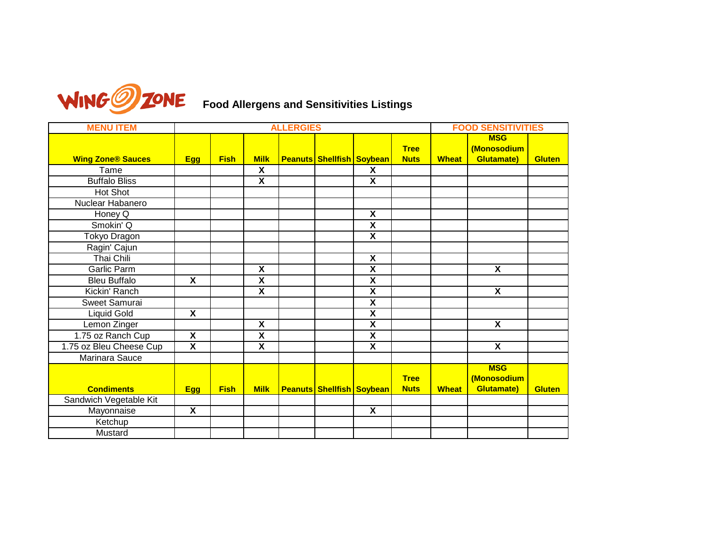

| <b>MENU ITEM</b>         | <b>ALLERGIES</b>          |             |                           |  |  |                                  |                            | <b>FOOD SENSITIVITIES</b> |                                                |               |  |
|--------------------------|---------------------------|-------------|---------------------------|--|--|----------------------------------|----------------------------|---------------------------|------------------------------------------------|---------------|--|
| <b>Wing Zone® Sauces</b> | <b>Egg</b>                | <b>Fish</b> | <b>Milk</b>               |  |  | <b>Peanuts Shellfish Soybean</b> | <b>Tree</b><br><b>Nuts</b> | <b>Wheat</b>              | <b>MSG</b><br>(Monosodium<br><b>Glutamate)</b> | <b>Gluten</b> |  |
| Tame                     |                           |             | X                         |  |  | X                                |                            |                           |                                                |               |  |
| <b>Buffalo Bliss</b>     |                           |             | $\overline{\mathbf{X}}$   |  |  | $\overline{\mathbf{X}}$          |                            |                           |                                                |               |  |
| Hot Shot                 |                           |             |                           |  |  |                                  |                            |                           |                                                |               |  |
| Nuclear Habanero         |                           |             |                           |  |  |                                  |                            |                           |                                                |               |  |
| Honey Q                  |                           |             |                           |  |  | X                                |                            |                           |                                                |               |  |
| Smokin' Q                |                           |             |                           |  |  | $\overline{\mathbf{X}}$          |                            |                           |                                                |               |  |
| Tokyo Dragon             |                           |             |                           |  |  | $\overline{\mathbf{X}}$          |                            |                           |                                                |               |  |
| Ragin' Cajun             |                           |             |                           |  |  |                                  |                            |                           |                                                |               |  |
| Thai Chili               |                           |             |                           |  |  | $\boldsymbol{\mathsf{X}}$        |                            |                           |                                                |               |  |
| Garlic Parm              |                           |             | $\boldsymbol{\mathsf{X}}$ |  |  | $\overline{\mathbf{x}}$          |                            |                           | $\overline{\mathbf{X}}$                        |               |  |
| <b>Bleu Buffalo</b>      | $\overline{\mathbf{X}}$   |             | $\overline{\mathbf{X}}$   |  |  | $\overline{\mathbf{X}}$          |                            |                           |                                                |               |  |
| Kickin' Ranch            |                           |             | $\overline{\mathbf{X}}$   |  |  | $\overline{\mathbf{x}}$          |                            |                           | $\overline{\mathbf{X}}$                        |               |  |
| Sweet Samurai            |                           |             |                           |  |  | $\overline{\mathbf{X}}$          |                            |                           |                                                |               |  |
| Liquid Gold              | $\overline{\mathbf{x}}$   |             |                           |  |  | $\overline{\mathbf{x}}$          |                            |                           |                                                |               |  |
| Lemon Zinger             |                           |             | $\overline{\mathbf{X}}$   |  |  | $\overline{\mathbf{X}}$          |                            |                           | $\overline{\mathbf{X}}$                        |               |  |
| 1.75 oz Ranch Cup        | $\overline{\mathbf{X}}$   |             | $\overline{\mathbf{x}}$   |  |  | $\overline{\mathbf{x}}$          |                            |                           |                                                |               |  |
| 1.75 oz Bleu Cheese Cup  | $\overline{\mathbf{x}}$   |             | $\overline{\mathbf{x}}$   |  |  | $\overline{\mathbf{x}}$          |                            |                           | $\overline{\mathbf{X}}$                        |               |  |
| <b>Marinara Sauce</b>    |                           |             |                           |  |  |                                  |                            |                           |                                                |               |  |
| <b>Condiments</b>        | <b>Egg</b>                | <b>Fish</b> | <b>Milk</b>               |  |  | <b>Peanuts Shellfish Soybean</b> | <b>Tree</b><br><b>Nuts</b> | <b>Wheat</b>              | <b>MSG</b><br>(Monosodium<br><b>Glutamate)</b> | <b>Gluten</b> |  |
| Sandwich Vegetable Kit   |                           |             |                           |  |  |                                  |                            |                           |                                                |               |  |
| Mayonnaise               | $\boldsymbol{\mathsf{X}}$ |             |                           |  |  | X                                |                            |                           |                                                |               |  |
| Ketchup                  |                           |             |                           |  |  |                                  |                            |                           |                                                |               |  |
| Mustard                  |                           |             |                           |  |  |                                  |                            |                           |                                                |               |  |